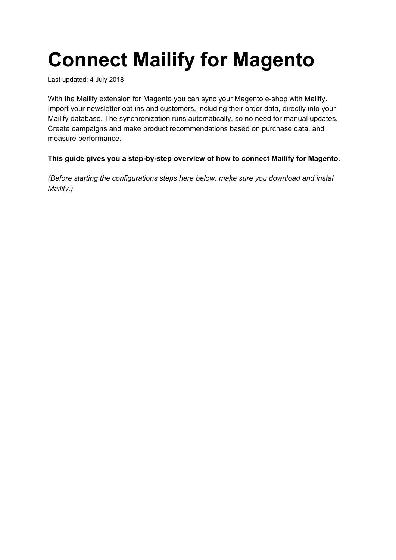# **Connect Mailify for Magento**

Last updated: 4 July 2018

With the Mailify extension for Magento you can sync your Magento e-shop with Mailify. Import your newsletter opt-ins and customers, including their order data, directly into your Mailify database. The synchronization runs automatically, so no need for manual updates. Create campaigns and make product recommendations based on purchase data, and measure performance.

#### **This guide gives you a step-by-step overview of how to connect Mailify for Magento.**

*(Before starting the configurations steps here below, make sure you download and instal Mailify.)*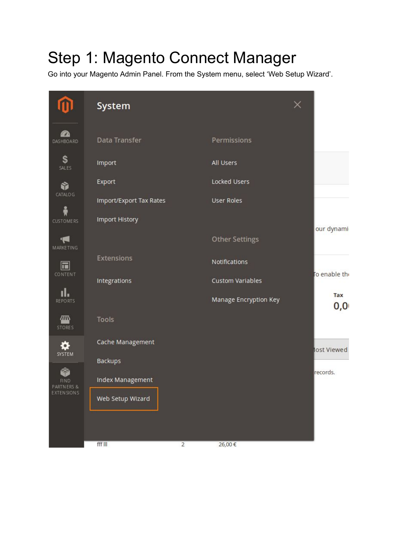## Step 1: Magento Connect Manager

Go into your Magento Admin Panel. From the System menu, select 'Web Setup Wizard'.

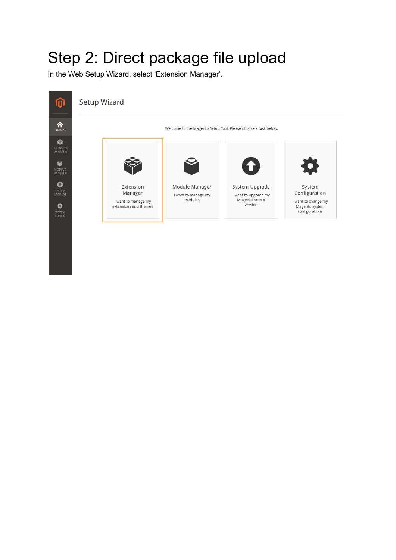#### Step 2: Direct package file upload

In the Web Setup Wizard, select 'Extension Manager'.

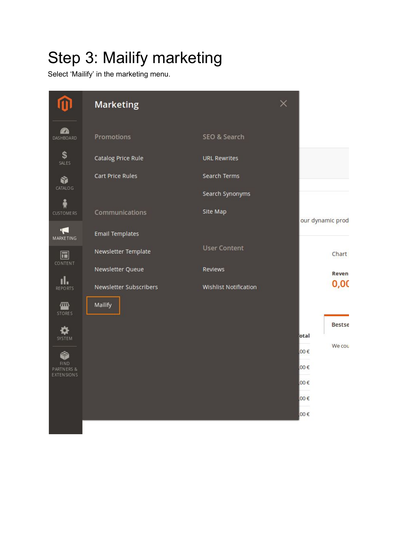# Step 3: Mailify marketing

Select 'Mailify' in the marketing menu.

|                                 | <b>Marketing</b>       |                       | $\times$ |                  |
|---------------------------------|------------------------|-----------------------|----------|------------------|
| <b>PA</b><br><b>DASHBOARD</b>   | Promotions             | SEO & Search          |          |                  |
| \$<br>SALES                     | Catalog Price Rule     | <b>URL Rewrites</b>   |          |                  |
| Ŷ                               | Cart Price Rules       | Search Terms          |          |                  |
| CATALO G                        |                        | Search Synonyms       |          |                  |
| <b>CUSTOMERS</b>                | Communications         | Site Map              |          | our dynamic prod |
| ⊔—<br><b>MARKETING</b>          | <b>Email Templates</b> |                       |          |                  |
| $\Box$                          | Newsletter Template    | <b>User Content</b>   |          | Chart            |
| <b>CONTENT</b>                  | Newsletter Queue       | Reviews               |          | <b>Reven</b>     |
| ıl.<br><b>REPORTS</b>           | Newsletter Subscribers | Wishlist Notification |          | 0,00             |
| <b>WIN</b><br><b>STORES</b>     | Mailify                |                       |          |                  |
|                                 |                        |                       |          | Bestse           |
| <b>SYSTEM</b>                   |                        |                       |          | otal<br>We cou   |
| <b>FIND</b>                     |                        |                       |          | 00€              |
| PARTNERS &<br><b>EXTENSIONS</b> |                        |                       |          | 00€              |
|                                 |                        |                       |          | 00€              |
|                                 |                        |                       |          | $00 \in$         |
|                                 |                        |                       |          | 00€              |
|                                 |                        |                       |          |                  |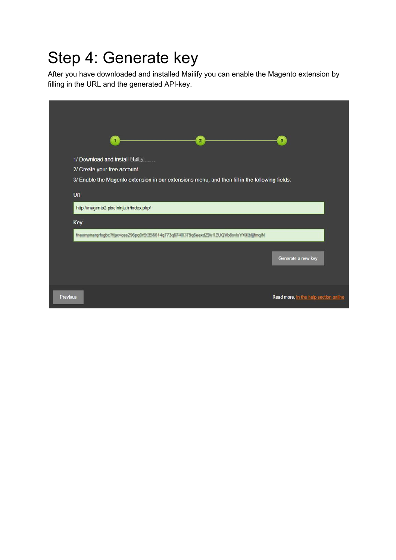### Step 4: Generate key

After you have downloaded and installed Mailify you can enable the Magento extension by filling in the URL and the generated API-key.

| $\overline{2}$                                                                                 | $\overline{\mathbf{3}}$               |
|------------------------------------------------------------------------------------------------|---------------------------------------|
| 1/ Download and install Mailfy<br>2/ Create your free account                                  |                                       |
| 3/ Enable the Magento extension in our extensions menu, and then fill in the following fields: |                                       |
| Url<br>http://magento2.pixelninja.fr/index.php/                                                |                                       |
| Key                                                                                            |                                       |
| Inemprenetration/Npovose296pp3r5c358814q173q67483F9qSeexd23e12Uk3WollentsY9Xt34jilmqM          |                                       |
|                                                                                                | Generate a new key                    |
|                                                                                                |                                       |
| <b>Previous</b>                                                                                | Read more, in the help section online |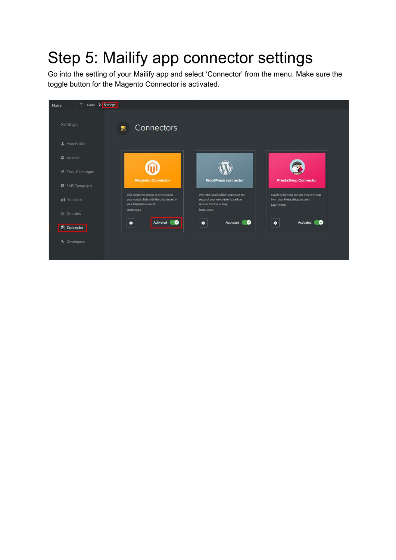# Step 5: Mailify app connector settings

Go into the setting of your Mailify app and select 'Connector' from the menu. Make sure the toggle button for the Magento Connector is activated.

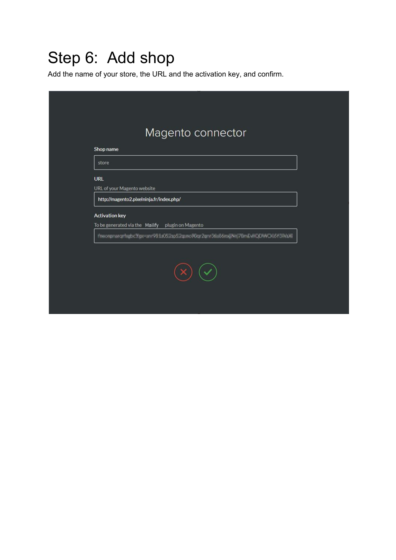### Step 6: Add shop

Add the name of your store, the URL and the activation key, and confirm.